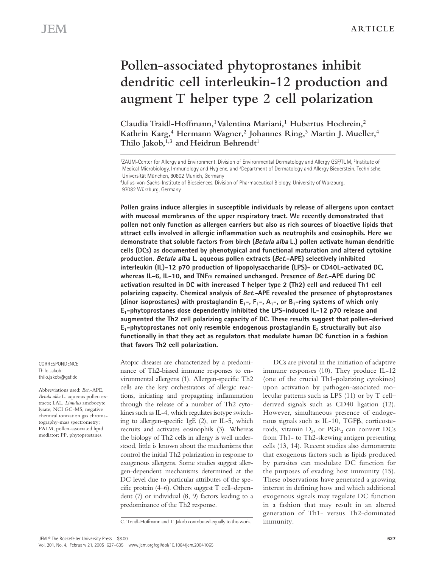# **Pollen-associated phytoprostanes inhibit dendritic cell interleukin-12 production and augment T helper type 2 cell polarization**

**Claudia Traidl-Hoffmann, <sup>1</sup>Valentina Mariani, <sup>1</sup> Hubertus Hochrein, 2 Kathrin Karg, <sup>4</sup> Hermann Wagner, 2 Johannes Ring, <sup>3</sup> Martin J. Mueller, 4 Thilo Jakob, 1,3 and Heidrun Behrendt 1**

**Pollen grains induce allergies in susceptible individuals by release of allergens upon contact with mucosal membranes of the upper respiratory tract. We recently demonstrated that pollen not only function as allergen carriers but also as rich sources of bioactive lipids that attract cells involved in allergic inflammation such as neutrophils and eosinophils. Here we demonstrate that soluble factors from birch (Betula alba L.) pollen activate human dendritic cells (DCs) as documented by phenotypical and functional maturation and altered cytokine production. Betula alba L. aqueous pollen extracts (Bet.-APE) selectively inhibited interleukin (IL)-12 p70 production of lipopolysaccharide (LPS)- or CD40L-activated DC, whereas IL-6, IL-10, and TNF remained unchanged. Presence of Bet.-APE during DC activation resulted in DC with increased T helper type 2 (Th2) cell and reduced Th1 cell polarizing capacity. Chemical analysis of Bet.-APE revealed the presence of phytoprostanes** (dinor isoprostanes) with prostaglandin  $E_1$ -,  $F_1$ -,  $A_1$ -, or  $B_1$ -ring systems of which only **E1-phytoprostanes dose dependently inhibited the LPS-induced IL-12 p70 release and augmented the Th2 cell polarizing capacity of DC. These results suggest that pollen-derived E1-phytoprostanes not only resemble endogenous prostaglandin E<sup>2</sup> structurally but also functionally in that they act as regulators that modulate human DC function in a fashion that favors Th2 cell polarization.**

**CORRESPONDENCE** Thilo Jakob: thilo.jakob@gsf.de

Abbreviations used: *Bet.*-APE, *Betula alba* L. aqueous pollen extracts; LAL, *Limulus* amebocyte lysate; NCI GC-MS, negative chemical ionization gas chromatography-mass spectrometry; PALM, pollen-associated lipid mediator; PP, phytoprostanes.

Atopic diseases are characterized by a predominance of Th2-biased immune responses to environmental allergens (1). Allergen-specific Th2 cells are the key orchestrators of allergic reactions, initiating and propagating inflammation through the release of a number of Th2 cytokines such as IL-4, which regulates isotype switching to allergen-specific IgE (2), or IL-5, which recruits and activates eosinophils (3). Whereas the biology of Th2 cells in allergy is well understood, little is known about the mechanisms that control the initial Th2 polarization in response to exogenous allergens. Some studies suggest allergen-dependent mechanisms determined at the DC level due to particular attributes of the specific protein (4–6). Others suggest T cell–dependent (7) or individual (8, 9) factors leading to a predominance of the Th2 response.

DCs are pivotal in the initiation of adaptive immune responses (10). They produce IL-12 (one of the crucial Th1-polarizing cytokines) upon activation by pathogen-associated molecular patterns such as LPS (11) or by T cell– derived signals such as CD40 ligation (12). However, simultaneous presence of endogenous signals such as IL-10, TGF $\beta$ , corticosteroids, vitamin  $D_3$ , or  $PGE_2$  can convert DCs from Th1- to Th2-skewing antigen presenting cells (13, 14). Recent studies also demonstrate that exogenous factors such as lipids produced by parasites can modulate DC function for the purposes of evading host immunity (15). These observations have generated a growing interest in defining how and which additional exogenous signals may regulate DC function in a fashion that may result in an altered generation of Th1- versus Th2-dominated

C. Traidl-Hoffmann and T. Jakob contributed equally to this work. immunity.

<sup>1</sup>ZAUM-Center for Allergy and Environment, Division of Environmental Dermatology and Allergy GSF/TUM, <sup>2</sup>Institute of Medical Microbiology, Immunology and Hygiene, and <sup>3</sup>Department of Dermatology and Allergy Biederstein, Technische, Universität München, 80802 Munich, Germany

<sup>4</sup> Julius-von-Sachs-Institute of Biosciences, Division of Pharmaceutical Biology, University of Würzburg, 97082 Würzburg, Germany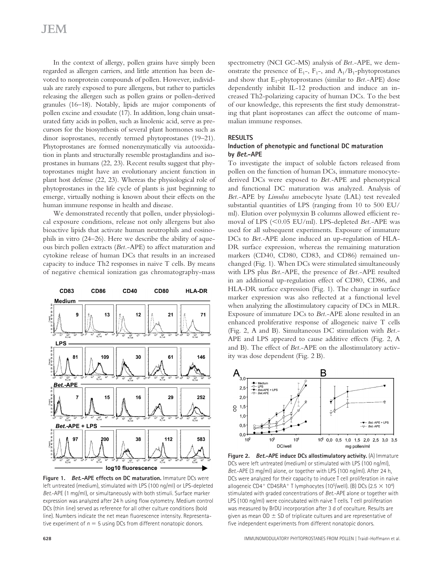# **JEM**

In the context of allergy, pollen grains have simply been regarded as allergen carriers, and little attention has been devoted to nonprotein compounds of pollen. However, individuals are rarely exposed to pure allergens, but rather to particles releasing the allergen such as pollen grains or pollen-derived granules (16–18). Notably, lipids are major components of pollen excine and exsudate (17). In addition, long chain unsaturated fatty acids in pollen, such as linolenic acid, serve as precursors for the biosynthesis of several plant hormones such as dinor isoprostanes, recently termed phytoprostanes (19–21). Phytoprostanes are formed nonenzymatically via autooxidation in plants and structurally resemble prostaglandins and isoprostanes in humans (22, 23). Recent results suggest that phytoprostanes might have an evolutionary ancient function in plant host defense (22, 23). Whereas the physiological role of phytoprostanes in the life cycle of plants is just beginning to emerge, virtually nothing is known about their effects on the human immune response in health and disease.

We demonstrated recently that pollen, under physiological exposure conditions, release not only allergens but also bioactive lipids that activate human neutrophils and eosinophils in vitro (24–26). Here we describe the ability of aqueous birch pollen extracts (*Bet.*-APE) to affect maturation and cytokine release of human DCs that results in an increased capacity to induce Th2 responses in naive T cells. By means of negative chemical ionization gas chromatography-mass



**Figure 1. Bet.-APE effects on DC maturation.** Immature DCs were left untreated (medium), stimulated with LPS (100 ng/ml) or LPS-depleted *Bet*.-APE (1 mg/ml), or simultaneously with both stimuli. Surface marker expression was analyzed after 24 h using flow cytometry. Medium control DCs (thin line) served as reference for all other culture conditions (bold line). Numbers indicate the net mean fluorescence intensity. Representative experiment of  $n = 5$  using DCs from different nonatopic donors.

spectrometry (NCI GC-MS) analysis of *Bet.*-APE, we demonstrate the presence of  $E_1$ -,  $F_1$ -, and  $A_1/B_1$ -phytoprostanes and show that E<sub>1</sub>-phytoprostanes (similar to *Bet.*-APE) dose dependently inhibit IL-12 production and induce an increased Th2-polarizing capacity of human DCs. To the best of our knowledge, this represents the first study demonstrating that plant isoprostanes can affect the outcome of mammalian immune responses.

#### **RESULTS**

### **Induction of phenotypic and functional DC maturation by Bet.-APE**

To investigate the impact of soluble factors released from pollen on the function of human DCs, immature monocytederived DCs were exposed to *Bet.-*APE and phenotypical and functional DC maturation was analyzed. Analysis of *Bet.*-APE by *Limulus* amebocyte lysate (LAL) test revealed substantial quantities of LPS (ranging from 10 to 500 EU/ ml). Elution over polymyxin B columns allowed efficient removal of LPS (<0.05 EU/ml). LPS-depleted *Bet*.-APE was used for all subsequent experiments. Exposure of immature DCs to *Bet.-*APE alone induced an up-regulation of HLA-DR surface expression, whereas the remaining maturation markers (CD40, CD80, CD83, and CD86) remained unchanged (Fig. 1). When DCs were stimulated simultaneously with LPS plus *Bet*.-APE, the presence of *Bet.*-APE resulted in an additional up-regulation effect of CD80, CD86, and HLA-DR surface expression (Fig. 1). The change in surface marker expression was also reflected at a functional level when analyzing the allostimulatory capacity of DCs in MLR. Exposure of immature DCs to *Bet*.-APE alone resulted in an enhanced proliferative response of allogeneic naive T cells (Fig. 2, A and B). Simultaneous DC stimulation with *Bet*.- APE and LPS appeared to cause additive effects (Fig. 2, A and B). The effect of *Bet*.-APE on the allostimulatory activity was dose dependent (Fig. 2 B).



**Figure 2. Bet.-APE induce DCs allostimulatory activity.** (A) Immature DCs were left untreated (medium) or stimulated with LPS (100 ng/ml), *Bet*.-APE (3 mg/ml) alone, or together with LPS (100 ng/ml). After 24 h, DCs were analyzed for their capacity to induce T cell proliferation in naive allogeneic CD4<sup>+</sup> CD45RA<sup>+</sup> T lymphocytes (10<sup>5</sup>/well). (B) DCs (2.5  $\times$  10<sup>4</sup>) stimulated with graded concentrations of *Bet*.-APE alone or together with LPS (100 ng/ml) were coincubated with naive T cells. T cell proliferation was measured by BrDU incorporation after 3 d of coculture. Results are given as mean  $OD \pm SD$  of triplicate cultures and are representative of five independent experiments from different nonatopic donors.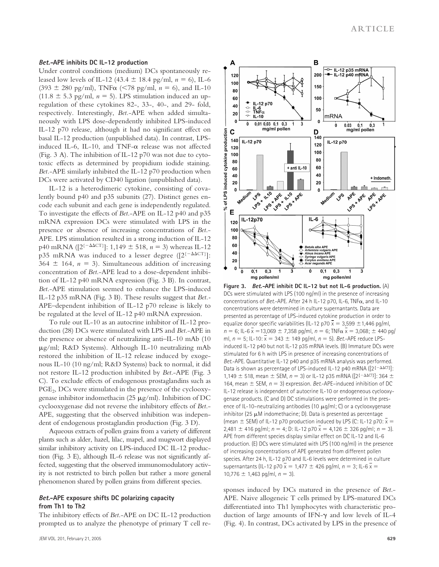#### **Bet.-APE inhibits DC IL-12 production**

Under control conditions (medium) DCs spontaneously released low levels of IL-12 (43.4  $\pm$  18.4 pg/ml,  $n = 6$ ), IL-6  $(393 \pm 280 \text{ pg/ml})$ , TNF $\alpha$  (<78 pg/ml,  $n = 6$ ), and IL-10  $(11.8 \pm 5.3 \text{ pg/ml}, n = 5)$ . LPS stimulation induced an upregulation of these cytokines 82-, 33-, 40-, and 29- fold, respectively. Interestingly, *Bet.*-APE when added simultaneously with LPS dose-dependently inhibited LPS-induced IL-12 p70 release, although it had no significant effect on basal IL-12 production (unpublished data). In contrast, LPSinduced IL-6, IL-10, and TNF- $\alpha$  release was not affected (Fig. 3 A). The inhibition of IL-12 p70 was not due to cytotoxic effects as determined by propidium iodide staining. *Bet.*-APE similarly inhibited the IL-12 p70 production when DCs were activated by CD40 ligation (unpublished data).

IL-12 is a heterodimeric cytokine, consisting of covalently bound p40 and p35 subunits (27). Distinct genes encode each subunit and each gene is independently regulated. To investigate the effects of *Bet*.-APE on IL-12 p40 and p35 mRNA expression DCs were stimulated with LPS in the presence or absence of increasing concentrations of *Bet*.- APE. LPS stimulation resulted in a strong induction of IL-12 p40 mRNA ( $[2^{(-\Delta \Delta \text{CT})}]$ : 1,149  $\pm$  518, *n* = 3) whereas IL-12 p35 mRNA was induced to a lesser degree  $([2^{(-\Delta \Delta \text{CT})}];$  $364 \pm 164$ ,  $n = 3$ ). Simultaneous addition of increasing concentration of *Bet*.-APE lead to a dose-dependent inhibition of IL-12 p40 mRNA expression (Fig. 3 B). In contrast, *Bet*.-APE stimulation seemed to enhance the LPS-induced IL-12 p35 mRNA (Fig. 3 B). These results suggest that *Bet.-* APE–dependent inhibition of IL-12 p70 release is likely to be regulated at the level of IL-12 p40 mRNA expression.

To rule out IL-10 as an autocrine inhibitor of IL-12 production (28) DCs were stimulated with LPS and *Bet*.-APE in the presence or absence of neutralizing anti–IL-10 mAb (10 g/ml; R&D Systems). Although IL-10 neutralizing mAb restored the inhibition of IL-12 release induced by exogenous IL-10 (10 ng/ml; R&D Systems) back to normal, it did not restore IL-12 production inhibited by *Bet*.-APE (Fig. 3 C). To exclude effects of endogenous prostaglandins such as PGE<sub>2</sub>, DCs were stimulated in the presence of the cyclooxygenase inhibitor indomethacin (25 µg/ml). Inhibition of DC cyclooxygenase did not reverse the inhibitory effects of *Bet*.- APE, suggesting that the observed inhibition was independent of endogenous prostaglandin production (Fig. 3 D).

Aqueous extracts of pollen grains from a variety of different plants such as alder, hazel, lilac, mapel, and mugwort displayed similar inhibitory activity on LPS-induced DC IL-12 production (Fig. 3 E), although IL-6 release was not significantly affected, suggesting that the observed immunomodulatory activity is not restricted to birch pollen but rather a more general phenomenon shared by pollen grains from different species.

### **Bet.-APE exposure shifts DC polarizing capacity from Th1 to Th2**

The inhibitory effects of *Bet*.-APE on DC IL-12 production prompted us to analyze the phenotype of primary T cell re-



**Figure 3. Bet.-APE inhibit DC IL-12 but not IL-6 production.** (A) DCs were stimulated with LPS (100 ng/ml) in the presence of increasing concentrations of *Bet*.-APE. After 24 h IL-12 p70, IL-6, TNF $\alpha$ , and IL-10 concentrations were determined in culture supernantants. Data are presented as percentage of LPS-induced cytokine production in order to equalize donor specific variabilities (IL-12 p70  $\bar{x} = 3,599 \pm 1,446$  pg/ml,  $n = 6$ ; IL-6  $\overline{x}$  = 13,069  $\pm$  7,358 pg/ml,  $n = 6$ ; TNF $\alpha \overline{x}$  = 3,068;  $\pm$  440 pg/ ml,  $n = 5$ ; IL-10:  $\bar{x} = 343 \pm 149$  pg/ml,  $n = 5$ ). *Bet.*-APE reduce LPSinduced IL-12 p40 but not IL-12 p35 mRNA levels. (B) Immature DCs were stimulated for 6 h with LPS in presence of increasing concentrations of *Bet*.-APE. Quantitative IL-12 p40 and p35 mRNA analysis was performed. Data is shown as percentage of LPS-induced IL-12 p40 mRNA ( $[2^{-\Delta\Delta CT}]$ : 1,149  $\pm$  518, mean  $\pm$  SEM, *n* = 3) or IL-12 p35 mRNA ([2<sup>{- $\Delta$  $\Delta$ CT}]: 364  $\pm$ </sup> 164, mean  $\pm$  SEM,  $n = 3$ ) expression. *Bet.*-APE-induced inhibition of DC IL-12 release is independent of autocrine IL-10 or endogeneous cyclooxygenase products. (C and D) DC stimulations were performed in the presence of IL-10–neutralizing antibodies (10  $\mu$ g/ml; C) or a cyclooxygenase inhibitor (25  $\mu$ M indomethacine; D). Data is presented as percentage (mean  $\pm$  SEM) of IL-12 p70 production induced by LPS (C: IL-12 p70:  $\bar{x}$  =  $2,481 \pm 416$  pg/ml;  $n = 4$ ; D: IL-12 p70  $\overline{x} = 4,126 \pm 326$  pg/ml;  $n = 3$ ). APE from different species display similar effect on DC IL-12 and IL-6 production. (E) DCs were stimulated with LPS (100 ng/ml) in the presence of increasing concentrations of APE generated from different pollen species. After 24 h, IL-12 p70 and IL-6 levels were determined in culture supernantants (IL-12 p70  $\bar{x}$  = 1,477  $\pm$  426 pg/ml,  $n = 3$ ; IL-6  $\bar{x}$  =  $10,776 \pm 1,463$  pg/ml,  $n = 3$ ).

sponses induced by DCs matured in the presence of *Bet*.- APE. Naive allogeneic T cells primed by LPS-matured DCs differentiated into Th1 lymphocytes with characteristic production of large amounts of IFN- $\gamma$  and low levels of IL-4 (Fig. 4). In contrast, DCs activated by LPS in the presence of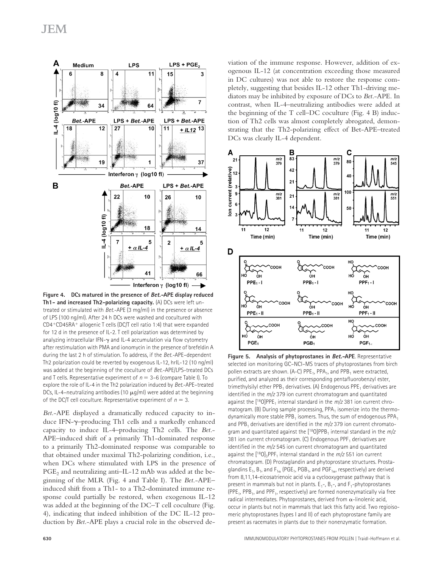

**Figure 4. DCs matured in the presence of Bet.-APE display reduced Th1- and increased Th2-polarizing capacity.** (A) DCs were left untreated or stimulated with *Bet*.-APE (3 mg/ml) in the presence or absence of LPS (100 ng/ml). After 24 h DCs were washed and cocultured with CD4+CD45RA+ allogenic T cells (DC/T cell ratio 1:4) that were expanded for 12 d in the presence of IL-2. T cell polarization was determined by analyzing intracellular IFN- $\gamma$  and IL-4 accumulation via flow cytometry after restimulation with PMA and ionomycin in the presence of brefeldin A during the last 2 h of stimulation. To address, if the *Bet.-*APE–dependent Th2 polarization could be reverted by exogenous IL-12, hrIL-12 (10 ng/ml) was added at the beginning of the coculture of *Bet*.-APE/LPS-treated DCs and T cells. Representative experiment of  $n = 3-6$  (compare Table I). To explore the role of IL-4 in the Th2 polarization induced by *Bet*.-APE–treated DCs, IL-4-neutralizing antibodies (10  $\mu$ g/ml) were added at the beginning of the DC/T cell coculture. Representative experiment of  $n = 3$ .

*Bet*.-APE displayed a dramatically reduced capacity to induce IFN-–producing Th1 cells and a markedly enhanced capacity to induce IL-4–producing Th2 cells. The *Bet*.- APE–induced shift of a primarily Th1-dominated response to a primarily Th2-dominated response was comparable to that obtained under maximal Th2-polarizing condition, i.e., when DCs where stimulated with LPS in the presence of PGE<sub>2</sub> and neutralizing anti–IL-12 mAb was added at the beginning of the MLR (Fig. 4 and Table I). The *Bet*.-APE– induced shift from a Th1- to a Th2-dominated immune response could partially be restored, when exogenous IL-12 was added at the beginning of the DC–T cell coculture (Fig. 4), indicating that indeed inhibition of the DC IL-12 production by *Bet*.-APE plays a crucial role in the observed deviation of the immune response. However, addition of exogenous IL-12 (at concentration exceeding those measured in DC cultures) was not able to restore the response completely, suggesting that besides IL-12 other Th1-driving mediators may be inhibited by exposure of DCs to *Bet*.-APE. In contrast, when IL-4–neutralizing antibodies were added at the beginning of the T cell–DC coculture (Fig. 4 B) induction of Th2 cells was almost completely abrogated, demonstrating that the Th2-polarizing effect of Bet-APE–treated DCs was clearly IL-4 dependent.



**Figure 5. Analysis of phytoprostanes in Bet.-APE**. Representative selected ion monitoring GC–NCI–MS traces of phytoprostanes from birch pollen extracts are shown. (A-C)  $\mathsf{PPE}_1$ ,  $\mathsf{PPA}_1$ , and  $\mathsf{PPB}_1$  were extracted, purified, and analyzed as their corresponding pentafluorobenzyl ester, trimethylsilyl ether PPB<sub>1</sub> derivatives. (A) Endogenous PPE<sub>1</sub> derivatives are identified in the *m/z* 379 ion current chromatogram and quantitated against the [<sup>18</sup>0]PPE<sub>1</sub> internal standard in the *m/z* 381 ion current chromatogram. (B) During sample processing,  $\mathsf{PPA}_1$  isomerize into the thermodynamically more stable  $\mathsf{PPB}_1$  isomers. Thus, the sum of endogenous  $\mathsf{PPA}_1$ and PPB<sub>1</sub> derivatives are identified in the *m*/z 379 ion current chromatogram and quantitated against the [<sup>18</sup>0]PPB<sub>1</sub> internal standard in the *m/z* 381 ion current chromatogram. (C) Endogenous  $PPF_1$  derivatives are identified in the *m/z* 545 ion current chromatogram and quantitated against the [<sup>18</sup>0]<sub>3</sub>PPF<sub>1</sub> internal standard in the *m/z* 551 ion current chromatogram. (D) Prostaglandin and phytoprostane structures. Prostaglandins  $\mathsf{E}_1$ ,  $\mathsf{B}_1$ , and  $\mathsf{F}_{1\alpha}$  (PGE $_1$ , PGB $_1$ , and PGF $_{1\alpha}$ , respectively) are derived from 8,11,14-eicosatrienoic acid via a cyclooxygenase pathway that is present in mammals but not in plants.  $E_1$ -,  $B_1$ -, and  $F_1$ -phytoprostanes (PPE<sub>1</sub>, PPB<sub>1</sub>, and PPF<sub>1</sub>, respectively) are formed nonenzymatically via free radical intermediates. Phytoprostanes, derived from  $\alpha$ -linolenic acid, occur in plants but not in mammals that lack this fatty acid. Two regioisomeric phytoprostanes (types I and II) of each phytoprostane family are present as racemates in plants due to their nonenzymatic formation.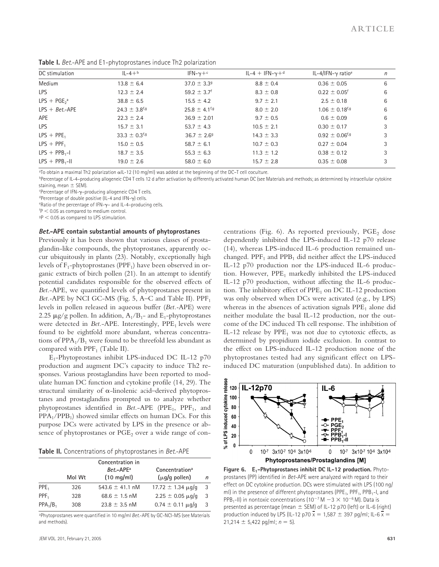| DC stimulation   | $1L - 4 + b$                  | $IFN-\gamma + c$              | $IL-4 + IFN-\gamma + d$ | IL-4/IFN- $\gamma$ ratio <sup>e</sup> | n |
|------------------|-------------------------------|-------------------------------|-------------------------|---------------------------------------|---|
| Medium           | $13.8 \pm 6.4$                | $37.0 \pm 3.39$               | $8.8 \pm 0.4$           | $0.36 \pm 0.05$                       | 6 |
| <b>LPS</b>       | $12.3 \pm 2.4$                | 59.2 $\pm$ 3.7 <sup>f</sup>   | $8.3 \pm 0.8$           | $0.22 \pm 0.05$ <sup>f</sup>          | 6 |
| $LPS + PGE2a$    | $38.8 \pm 6.5$                | $15.5 \pm 4.2$                | $9.7 \pm 2.1$           | $2.5 \pm 0.18$                        | 6 |
| $LPS + Bet.-APE$ | $24.3 \pm 3.8$ <sup>f,g</sup> | $25.8 \pm 4.1$ <sup>f,g</sup> | $8.0 \pm 2.0$           | $1.06 \pm 0.18$ <sup>f,g</sup>        | 6 |
| APE              | $22.3 \pm 2.4$                | $36.9 \pm 2.01$               | $9.7 \pm 0.5$           | $0.6 \pm 0.09$                        | 6 |
| <b>LPS</b>       | $15.7 \pm 3.1$                | 53.7 $\pm$ 4.3                | $10.5 \pm 2.1$          | $0.30 \pm 0.17$                       | 3 |
| $LPS + PPE1$     | $33.3 \pm 0.3$ <sup>f,g</sup> | $36.7 \pm 2.69$               | $14.3 \pm 3.3$          | $0.92 \pm 0.06$ <sup>f,g</sup>        | 3 |
| $LPS + PPF_1$    | $15.0 \pm 0.5$                | 58.7 $\pm$ 6.1                | $10.7 \pm 0.3$          | $0.27 \pm 0.04$                       | 3 |
| $LPS + PPB1-I$   | $18.7 \pm 3.5$                | $55.3 \pm 6.3$                | $11.3 \pm 1.2$          | $0.38 \pm 0.12$                       | 3 |
| $LPS + PPB_1-I$  | $19.0 \pm 2.6$                | $58.0 \pm 6.0$                | $15.7 \pm 2.8$          | $0.35 \pm 0.08$                       | 3 |

**Table I.** *Bet.*-APE and E1-phytoprostanes induce Th2 polarization

®To obtain a maximal Th2 polarization  $\alpha$ lL-12 (10 mg/ml) was added at the beginning of the DC–T cell coculture.

bPercentage of IL-4-producing allogeneic CD4 T cells 12 d after activation by differently activated human DC (see Materials and methods; as determined by intracellular cytokine staining, mean  $\pm$  SEM).

<sup>c</sup>Percentage of IFN-–producing allogeneic CD4 T cells.

 $d$ Percentage of double positive (IL-4 and IFN- $\gamma$ ) cells.

 $e$ Ratio of the percentage of IFN- $\gamma$ – and IL-4–producing cells.

 $fP < 0.05$  as compared to medium control.

 $9P < 0.05$  as compared to LPS stimulation.

#### **Bet.-APE contain substantial amounts of phytoprostanes**

Previously it has been shown that various classes of prostaglandin-like compounds, the phytoprostanes, apparently occur ubiquitously in plants (23). Notably, exceptionally high levels of  $F_1$ -phytoprostanes (PPF<sub>1</sub>) have been observed in organic extracts of birch pollen (21). In an attempt to identify potential candidates responsible for the observed effects of *Bet*.-APE, we quantified levels of phytoprostanes present in *Bet.*-APE by NCI GC-MS (Fig. 5, A–C and Table II). PPF<sub>1</sub> levels in pollen released in aqueous buffer (*Bet.-*APE) were 2.25  $\mu$ g/g pollen. In addition,  $A_1/B_1$ - and  $E_1$ -phytoprostanes were detected in *Bet.*-APE. Interestingly, PPE<sub>1</sub> levels were found to be eightfold more abundant, whereas concentrations of  $PPA_1/B_1$  were found to be threefold less abundant as compared with  $\text{PPF}_1$  (Table II).

E1 -Phytoprostanes inhibit LPS-induced DC IL-12 p70 production and augment DC's capacity to induce Th2 responses. Various prostaglandins have been reported to modulate human DC function and cytokine profile (14, 29). The structural similarity of  $\alpha$ -linolenic acid-derived phytoprostanes and prostaglandins prompted us to analyze whether phytoprostanes identified in *Bet*.-APE (PPE<sub>1</sub>, PPF<sub>1</sub>, and PPA<sub>1</sub>/PPB<sub>1</sub>) showed similar effects on human DCs. For this purpose DCs were activated by LPS in the presence or absence of phytoprostanes or  $PGE<sub>2</sub>$  over a wide range of con-

| Table II. Concentrations of phytoprostanes in Bet.-APE |  |  |
|--------------------------------------------------------|--|--|
|--------------------------------------------------------|--|--|

|                  | Mol Wt | Concentration in<br>$Ret$ -APF <sup>a</sup><br>$(10 \text{ mg/ml})$ | Concentration <sup>a</sup><br>$(\mu q/q$ pollen) | n  |
|------------------|--------|---------------------------------------------------------------------|--------------------------------------------------|----|
| PPE <sub>1</sub> | 326    | 543.6 $\pm$ 41.1 nM                                                 | $17.72 \pm 1.34 \mu q/q$                         | 3  |
| $PPF_1$          | 328    | 68.6 $\pm$ 1.5 nM                                                   | $2.25 \pm 0.05 \,\mu\text{g/g}$                  | 3  |
| $PPA_1/B_1$      | 308    | $23.8 \pm 3.5$ nM                                                   | $0.74 \pm 0.11 \,\mu q/q$                        | -3 |

<sup>a</sup>Phytoprostanes were quantified in 10 mg/ml *Bet.*-APE by GC-NCI-MS (see Materials and methods).

centrations (Fig. 6). As reported previously,  $PGE_2$  dose dependently inhibited the LPS-induced IL-12 p70 release (14), whereas LPS-induced IL-6 production remained unchanged. PPF<sub>1</sub> and PPB<sub>1</sub> did neither affect the LPS-induced IL-12 p70 production nor the LPS-induced IL-6 production. However,  $PPE_1$  markedly inhibited the LPS-induced IL-12 p70 production, without affecting the IL-6 production. The inhibitory effect of  $PPE<sub>1</sub>$  on DC IL-12 production was only observed when DCs were activated (e.g., by LPS) whereas in the absences of activation signals  $\text{PPE}_1$  alone did neither modulate the basal IL-12 production, nor the outcome of the DC induced Th cell response. The inhibition of IL-12 release by  $PPE_1$  was not due to cytotoxic effects, as determined by propidium iodide exclusion. In contrast to the effect on LPS-induced IL-12 production none of the phytoprostanes tested had any significant effect on LPSinduced DC maturation (unpublished data). In addition to



**Figure 6. E1-Phytoprostanes inhibit DC IL-12 production.** Phytoprostanes (PP) identified in *Bet*-APE were analyzed with regard to their effect on DC cytokine production. DCs were stimulated with LPS (100 ng/ ml) in the presence of different phytoprostanes (PPE<sub>1</sub>, PPF<sub>1</sub>, PPB<sub>1</sub>-I, and PPB<sub>1</sub>-II) in nontoxic concentrations (10<sup>-7</sup> M  $-3 \times 10^{-6}$  M). Data is presented as percentage (mean  $\pm$  SEM) of IL-12 p70 (left) or IL-6 (right) production induced by LPS (IL-12 p70  $\overline{x}$  = 1,587  $\pm$  397 pg/ml; IL-6  $\overline{x}$  =  $21,214 \pm 5,422$  pg/ml;  $n = 5$ ).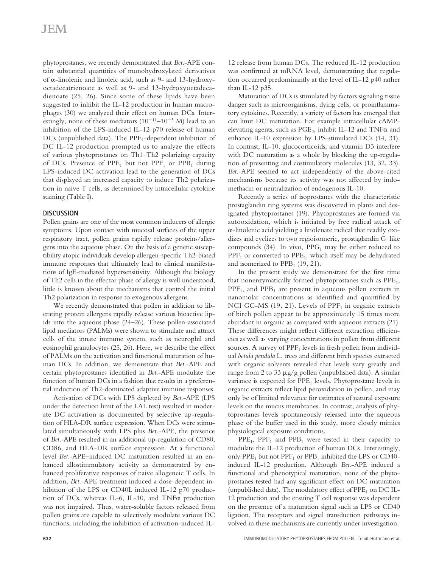phytoprostanes, we recently demonstrated that *Bet.*-APE contain substantial quantities of monohydroxylated derivatives of  $\alpha$ -linolenic and linoleic acid, such as 9- and 13-hydroxyoctadecatrienoate as well as 9- and 13-hydroxyoctadecadienoate (25, 26). Since some of these lipids have been suggested to inhibit the IL-12 production in human macrophages (30) we analyzed their effect on human DCs. Interestingly, none of these mediators  $(10^{-11} - 10^{-5} \text{ M})$  lead to an inhibition of the LPS-induced IL-12 p70 release of human DCs (unpublished data). The PPE<sub>1</sub>-dependent inhibition of DC IL-12 production prompted us to analyze the effects of various phytoprostanes on Th1–Th2 polarizing capacity of DCs. Presence of  $PPE<sub>1</sub>$  but not  $PPF<sub>1</sub>$  or  $PPB<sub>1</sub>$  during LPS-induced DC activation lead to the generation of DCs that displayed an increased capacity to induce Th2 polarization in naive T cells, as determined by intracellular cytokine staining (Table I).

## **DISCUSSION**

Pollen grains are one of the most common inducers of allergic symptoms. Upon contact with mucosal surfaces of the upper respiratory tract, pollen grains rapidly release proteins/allergens into the aqueous phase. On the basis of a genetic susceptibility atopic individuals develop allergen-specific Th2-biased immune responses that ultimately lead to clinical manifestations of IgE-mediated hypersensitivity. Although the biology of Th2 cells in the effector phase of allergy is well understood, little is known about the mechanisms that control the initial Th2 polarization in response to exogenous allergens.

We recently demonstrated that pollen in addition to liberating protein allergens rapidly release various bioactive lipids into the aqueous phase (24–26). These pollen-associated lipid mediators (PALMs) were shown to stimulate and attract cells of the innate immune system, such as neurophil and eosinophil granulocytes (25, 26). Here, we describe the effect of PALMs on the activation and functional maturation of human DCs. In addition, we demonstrate that *Bet*.-APE and certain phytoprostanes identified in *Bet*.-APE modulate the function of human DCs in a fashion that results in a preferential induction of Th2-dominated adaptive immune responses.

Activation of DCs with LPS depleted by *Bet*.-APE (LPS under the detection limit of the LAL test) resulted in moderate DC activation as documented by selective up-regulation of HLA-DR surface expression. When DCs were stimulated simultaneously with LPS plus *Bet*.-APE, the presence of *Bet.-*APE resulted in an additional up-regulation of CD80, CD86, and HLA-DR surface expression. At a functional level *Bet.-*APE–induced DC maturation resulted in an enhanced allostimmulatory activity as demonstrated by enhanced proliferative responses of naive allogeneic T cells. In addition, *Bet*.-APE treatment induced a dose-dependent inhibition of the LPS or CD40L induced IL-12 p70 production of DCs, whereas IL-6, IL-10, and TNF $\alpha$  production was not impaired. Thus, water-soluble factors released from pollen grains are capable to selectively modulate various DC functions, including the inhibition of activation-induced IL- 12 release from human DCs. The reduced IL-12 production was confirmed at mRNA level, demonstrating that regulation occurred predominantly at the level of IL-12 p40 rather than IL-12 p35.

Maturation of DCs is stimulated by factors signaling tissue danger such as microorganisms, dying cells, or proinflammatory cytokines. Recently, a variety of factors has emerged that can limit DC maturation. For example intracellular cAMPelevating agents, such as  $PGE_2$ , inhibit IL-12 and  $TNF\alpha$  and enhance IL-10 expression by LPS-stimulated DCs (14, 31). In contrast, IL-10, glucocorticoids, and vitamin D3 interfere with DC maturation as a whole by blocking the up-regulation of presenting and costimulatory molecules (13, 32, 33). *Bet*.-APE seemed to act independently of the above-cited mechanisms because its activity was not affected by indomethacin or neutralization of endogenous IL-10.

Recently a series of isoprostanes with the characteristic prostaglandin ring systems was discovered in plants and designated phytoprostanes (19). Phytoprostanes are formed via autooxidation, which is initiated by free radical attack of  $\alpha$ -linolenic acid yielding a linolenate radical that readily oxidizes and cyclizes to two regioisomeric, prostaglandin G–like compounds (34). In vivo,  $PPG_1$  may be either reduced to  $\text{PPP}_1$  or converted to  $\text{PPE}_1$ , which itself may be dehydrated and isomerized to  $\text{PPB}_1$  (19, 21).

In the present study we demonstrate for the first time that nonenzymatically formed phytoprostanes such as  $\mathrm{PPE}_1$ ,  $\text{PPF}_1$ , and  $\text{PPB}_1$  are present in aqueous pollen extracts in nanomolar concentrations as identified and quantified by NCI GC-MS (19, 21). Levels of  $\text{PPP}_1$  in organic extracts of birch pollen appear to be approximately 15 times more abundant in organic as compared with aqueous extracts (21). These differences might reflect different extraction efficiencies as well as varying concentrations in pollen from different sources. A survey of PPF<sub>1</sub> levels in fresh pollen from individual *betula pendula* L. trees and different birch species extracted with organic solvents revealed that levels vary greatly and range from 2 to 33  $\mu$ g/g pollen (unpublished data). A similar variance is expected for  $\text{PPE}_1$  levels. Phytoprostane levels in organic extracts reflect lipid peroxidation in pollen, and may only be of limited relevance for estimates of natural exposure levels on the mucus membranes. In contrast, analysis of phytoprostanes levels spontaneously released into the aqueous phase of the buffer used in this study, more closely mimics physiological exposure conditions.

 $PPE<sub>1</sub>$ ,  $PPF<sub>1</sub>$  and  $PPB<sub>1</sub>$  were tested in their capacity to modulate the IL-12 production of human DCs. Interestingly, only  $PPE_1$  but not  $PPF_1$  or  $PPB_1$  inhibited the LPS or CD40induced IL-12 production. Although *Bet*.-APE induced a functional and phenotypical maturation, none of the phytoprostanes tested had any significant effect on DC maturation (unpublished data). The modulatory effect of  $PPE<sub>1</sub>$  on DC IL-12 production and the ensuing T cell response was dependent on the presence of a maturation signal such as LPS or CD40 ligation. The receptors and signal transduction pathways involved in these mechanisms are currently under investigation.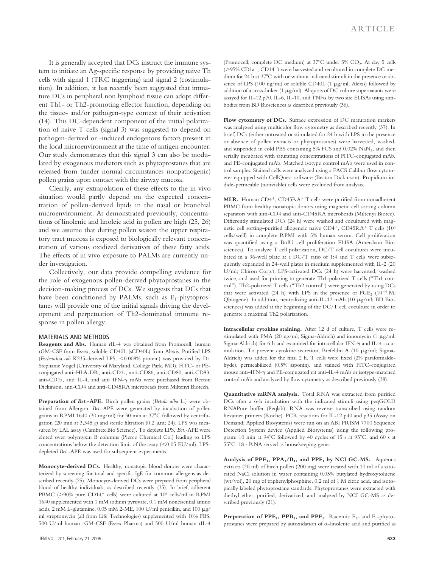It is generally accepted that DCs instruct the immune system to initiate an Ag-specific response by providing naive Th cells with signal 1 (TRC triggering) and signal 2 (costimulation). In addition, it has recently been suggested that immature DCs in peripheral non lymphoid tissue can adopt different Th1- or Th2-promoting effector function, depending on the tissue- and/or pathogen-type context of their activation (14). This DC-dependent component of the initial polarization of naive T cells (signal 3) was suggested to depend on pathogen-derived or -induced endogenous factors present in the local microenvironment at the time of antigen encounter. Our study demonstrates that this signal 3 can also be modulated by exogenous mediators such as phytoprostanes that are released from (under normal circumstances nonpathogenic) pollen grains upon contact with the airway mucosa.

Clearly, any extrapolation of these effects to the in vivo situation would partly depend on the expected concentration of pollen-derived lipids in the nasal or bronchial microenvironment. As demonstrated previously, concentrations of linolenic and linoleic acid in pollen are high (25, 26) and we assume that during pollen season the upper respiratory tract mucosa is exposed to biologically relevant concentration of various oxidized derivatives of these fatty acids. The effects of in vivo exposure to PALMs are currently under investigation.

Collectively, our data provide compelling evidence for the role of exogenous pollen-derived phytoprostanes in the decision-making process of DCs. We suggests that DCs that have been conditioned by PALMs, such as  $E_1$ -phytoprostanes will provide one of the initial signals driving the development and perpetuation of Th2-dominated immune response in pollen allergy.

#### **MATERIALS AND METHODS**

**Reagents and Abs.** Human rIL-4 was obtained from Promocell, human rGM-CSF from Essex, soluble CD40L (sCD40L) from Alexis. Purified LPS (*Escherichia coli* K235-derived LPS; <0.008% protein) was provided by Dr. Stephanie Vogel (University of Maryland, College Park, MD). FITC- or PEconjugated anti–HLA-DR, anti-CD1a, anti-CD86, anti-CD80, anti-CD83, anti-CD1a, anti-IL-4, and anti-IFN- $\gamma$  mAb were purchased from Becton Dickinson, anti-CD4 and anti-CD45RA microbeads from Miltenyi Biotech.

**Preparation of** *Bet.***-APE.** Birch pollen grains (*Betula alba* L.) were obtained from Allergon. *Bet.-*APE were generated by incubation of pollen grains in RPMI 1640 (30 mg/ml) for 30 min at 37°C followed by centrifugation (20 min at 3,345 *g*) and sterile filtration (0.2 m; 24). LPS was measured by LAL assay (Cambrex Bio Science). To deplete LPS, *Bet.-*APE were eluted over polymyxin B columns (Pierce Chemical Co.) leading to LPS concentrations below the detection limit of the assay  $(< 0.05$  EU/ml). LPSdepleted *Bet.*-APE was used for subsequent experiments.

**Monocyte-derived DCs.** Healthy, nonatopic blood donors were characterized by screening for total and specific IgE for common allergens as described recently (25). Monocyte-derived DCs were prepared from peripheral blood of healthy individuals, as described recently (35). In brief, adherent PBMC (>90% pure CD14<sup>+</sup> cells) were cultured at 10<sup>6</sup> cells/ml in RPMI 1640 supplemented with 1 mM sodium pyruvate, 0.1 mM nonessential amino acids, 2 mM L-glutamine, 0.05 mM 2-ME, 100 U/ml penicillin, and 100  $\mu$ g/ ml streptomycin (all from Life Technologies) supplemented with 10% FBS, 500 U/ml human rGM-CSF (Essex Pharma) and 500 U/ml human rIL-4

(Promocell; complete DC medium) at 37°C under 5% CO<sub>2</sub>. At day 5 cells ( 95% CD1a , CD14 ) were harvested and recultured in complete DC medium for 24 h at 37C with or without indicated stimuli in the presence or absence of LPS (100 ng/ml) or soluble CD40L (1 µg/ml; Alexis) followed by addition of a cross-linker (1  $\mu$ g/ml). Aliquots of DC culture supernatants were assayed for IL-12 p70, IL-6, IL-10, and  $TNF\alpha$  by two site ELISAs using antibodies from BD Biosciences as described previously (36).

**Flow cytometry of DCs.** Surface expression of DC maturation markers was analyzed using multicolor flow cytometry as described recently (37). In brief, DCs (either untreated or stimulated for 24 h with LPS in the presence or absence of pollen extracts or phytoprostanes) were harvested, washed, and suspended in cold PBS containing  $5\%$  FCS and  $0.02\%$  NaN $_3$ , and then serially incubated with saturating concentrations of FITC-conjugated mAb, and PE-conjugated mAb. Matched isotype control mAb were used in control samples. Stained cells were analyzed using a FACS Calibur flow cytometer equipped with CellQuest software (Becton Dickinson). Propidium iodide-permeable (nonviable) cells were excluded from analysis.

MLR. Human CD4<sup>+</sup>, CD45RA<sup>+</sup> T cells were purified from nonadherent PBMC from healthy nonatopic donors using magnetic cell sorting column separators with anti-CD4 and anti-CD45RA microbeads (Miltenyi Biotec). Differently stimulated DCs (24 h) were washed and cocultured with magnetic cell sorting–purified allogeneic naive CD4<sup>+</sup>, CD45RA<sup>+</sup> T cells (10<sup>5</sup> cells/well) in complete RPMI with 5% human serum. Cell proliferation was quantified using a BrdU cell proliferation ELISA (Amersham Biosciences). To analyze T cell polarization, DC/T cell cocultures were incubated in a 96-well plate at a DC/T ratio of 1:4 and T cells were subsequently expanded in 24-well plates in medium supplemented with IL-2 (20 U/ml; Chiron Corp.). LPS-activated DCs (24 h) were harvested, washed twice, and used for priming to generate Th1-polarized T cells ("Th1 control"). Th2-polarized T cells ("Th2 control") were generated by using DCs that were activated (24 h) with LPS in the presence of  $PGE_2$  (10<sup>-6</sup> M; Qbiogene). In addition, neutralizing anti-IL-12 mAb (10 µg/ml; BD Biosciences) was added at the beginning of the DC/T cell coculture in order to generate a maximal Th2 polarization.

**Intracellular cytokine staining.** After 12 d of culture, T cells were restimulated with PMA (20 ng/ml; Sigma-Aldrich) and ionomycin (1 µg/ml; Sigma-Aldrich) for 6 h and examined for intracellular IFN- $\gamma$  and IL-4 accumulation. To prevent cytokine secretion, Brefeldin A (10 µg/ml; Sigma-Aldrich) was added for the final 2 h. T cells were fixed (2% paraformaldehyde), permeabilized (0.5% saponin), and stained with FITC-conjugated mouse anti-IFN- $\gamma$  and PE-conjugated rat anti-IL-4 mAb or isotype-matched control mAb and analyzed by flow cytometry as described previously (38).

**Quantitative mRNA analysis.** Total RNA was extracted from purified DCs after a 6-h incubation with the indicated stimuli using peqGOLD RNAPure buffer (Peqlab). RNA was reverse transcribed using random hexamer primers (Roche). PCR reactions for IL-12 p40 and p35 (Assay on Demand; Applied Biosystems) were run on an ABI PRISM 7700 Sequence Detection System device (Applied Biosystems) using the following program: 10 min at 94°C followed by 40 cycles of 15 s at 95°C, and 60 s at 55°C. 18 s RNA served as housekeeping gene.

**Analysis of PPE<sup>1</sup> , PPA1/B<sup>1</sup> , and PPF<sup>1</sup> by NCI GC-MS.** Aqueous extracts (20 ml) of birch pollen (200 mg) were treated with 10 ml of a saturated NaCl solution in water containing 0.05% butylated hydroxytoluene (wt/vol), 20 mg of triphenylphosphine, 0.2 ml of 1 M citric acid, and isotopically labeled phytoprostane standards. Phytoprostanes were extracted with diethyl ether, purified, derivatized, and analyzed by NCI GC-MS as described previously (21).

**Preparation of PPE<sub>1</sub>, PPB<sub>1</sub>, and PPF<sub>1</sub>.** Racemic E<sub>1</sub>- and F<sub>1</sub>-phytoprostanes were prepared by autoxidation of  $\alpha$ -linolenic acid and purified as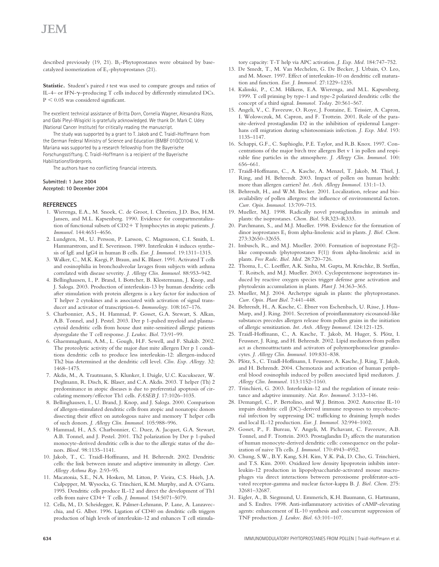# JEM

described previously (19, 21).  $B_1$ -Phytoprostanes were obtained by basecatalyzed isomerization of  $E_1$ -phytoprostanes (21).

**Statistic.** Student's paired *t* test was used to compare groups and ratios of IL-4– or IFN- $\gamma$ –producing T cells induced by differently stimulated DCs.  $P < 0.05$  was considered significant.

The excellent technical assistance of Britta Dorn, Cornelia Wagner, Alexandra Rizos, and Gabi Pleyl-Wisgickl is gratefully acknowledged. We thank Dr. Mark C. Udey (National Cancer Institute) for critically reading the manuscript.

The study was supported by a grant to T. Jakob and C. Traidl-Hoffmann from the German Federal Ministry of Science and Education (BMBF 01GC0104). V. Mariana was supported by a research fellowship from the Bayerische Forschungsstiftung. C. Traidl-Hoffmann is a recipient of the Bayerische Habilitationsförderpreis.

The authors have no conflicting financial interests.

#### **Submitted: 1 June 2004 Accepted: 10 December 2004**

#### **REFERENCES**

- 1. Wierenga, E.A., M. Snoek, C. de Groot, I. Chretien, J.D. Bos, H.M. Jansen, and M.L. Kapsenberg. 1990. Evidence for compartmentalization of functional subsets of CD2+T lymphocytes in atopic patients. *J*. *Immunol.* 144:4651–4656.
- 2. Lundgren, M., U. Persson, P. Larsson, C. Magnusson, C.I. Smith, L. Hammarstrom, and E. Severinson. 1989. Interleukin 4 induces synthesis of IgE and IgG4 in human B cells. *Eur. J. Immunol.* 19:1311–1315.
- 3. Walker, C., M.K. Kaegi, P. Braun, and K. Blaser. 1991. Activated T cells and eosinophilia in bronchoalveolar lavages from subjects with asthma correlated with disease severity. *J. Allergy Clin. Immunol.* 88:953–942.
- 4. Bellinghausen, I., P. Brand, I. Bottcher, B. Klostermann, J. Knop, and J. Saloga. 2003. Production of interleukin-13 by human dendritic cells after stimulation with protein allergens is a key factor for induction of T helper 2 cytokines and is associated with activation of signal transducer and activator of transcription-6. *Immunology.* 108:167–176.
- 5. Charbonnier, A.S., H. Hammad, P. Gosset, G.A. Stewart, S. Alkan, A.B. Tonnel, and J. Pestel. 2003. Der p 1-pulsed myeloid and plasmacytoid dendritic cells from house dust mite-sensitized allergic patients dysregulate the T cell response. *J. Leukoc. Biol.* 73:91–99.
- 6. Ghaemmaghami, A.M., L. Gough, H.F. Sewell, and F. Shakib. 2002. The proteolytic activity of the major dust mite allergen Der p 1 conditions dendritic cells to produce less interleukin-12: allergen-induced Th2 bias determined at the dendritic cell level. *Clin. Exp. Allergy.* 32: 1468–1475.
- 7. Akdis, M., A. Trautmann, S. Klunker, I. Daigle, U.C. Kucuksezer, W. Deglmann, R. Disch, K. Blaser, and C.A. Akdis. 2003. T helper (Th) 2 predominance in atopic diseases is due to preferential apoptosis of circulating memory/effector Th1 cells. *FASEB J.* 17:1026–1035.
- 8. Bellinghausen, I., U. Brand, J. Knop, and J. Saloga. 2000. Comparison of allergen-stimulated dendritic cells from atopic and nonatopic donors dissecting their effect on autologous naive and memory T helper cells of such donors. *J. Allergy Clin. Immunol.* 105:988–996.
- 9. Hammad, H., A.S. Charbonnier, C. Duez, A. Jacquet, G.A. Stewart, A.B. Tonnel, and J. Pestel. 2001. Th2 polarization by Der p 1-pulsed monocyte-derived dendritic cells is due to the allergic status of the donors. *Blood.* 98:1135–1141.
- 10. Jakob, T., C. Traidl-Hoffmann, and H. Behrendt. 2002. Dendritic cells: the link between innate and adaptive immunity in allergy. *Curr. Allergy Asthma Rep.* 2:93–95.
- 11. Macatonia, S.E., N.A. Hosken, M. Litton, P. Vieira, C.S. Hsieh, J.A. Culpepper, M. Wysocka, G. Trinchieri, K.M. Murphy, and A. O'Garra. 1995. Dendritic cells produce IL-12 and direct the development of Th1 cells from naive CD4 T cells. *J. Immunol.* 154:5071–5079.
- 12. Cella, M., D. Scheidegger, K. Palmer-Lehmann, P. Lane, A. Lanzavecchia, and G. Alber. 1996. Ligation of CD40 on dendritic cells triggers production of high levels of interleukin-12 and enhances T cell stimula-

tory capacity: T-T help via APC activation. *J. Exp. Med.* 184:747–752.

- 13. De Smedt, T., M. Van Mechelen, G. De Becker, J. Urbain, O. Leo, and M. Moser. 1997. Effect of interleukin-10 on dendritic cell maturation and function. *Eur. J. Immunol.* 27:1229–1235.
- 14. Kalinski, P., C.M. Hilkens, E.A. Wierenga, and M.L. Kapsenberg. 1999. T cell priming by type-1 and type-2 polarized dendritic cells: the concept of a third signal. *Immunol. Today.* 20:561–567.
- 15. Angeli, V., C. Faveeuw, O. Roye, J. Fontaine, E. Teissier, A. Capron, I. Wolowczuk, M. Capron, and F. Trottein. 2001. Role of the parasite-derived prostaglandin D2 in the inhibition of epidermal Langerhans cell migration during schistosomiasis infection. *J. Exp. Med.* 193: 1135–1147.
- 16. Schappi, G.F., C. Suphioglu, P.E. Taylor, and R.B. Knox. 1997. Concentrations of the major birch tree allergen Bet v 1 in pollen and respirable fine particles in the atmosphere. *J. Allergy Clin. Immunol.* 100: 656–661.
- 17. Traidl-Hoffmann, C., A. Kasche, A. Menzel, T. Jakob, M. Thiel, J. Ring, and H. Behrendt. 2003. Impact of pollen on human health: more than allergen carriers? *Int. Arch. Allergy Immunol.* 131:1–13.
- 18. Behrendt, H., and W.M. Becker. 2001. Localization, release and bioavailability of pollen allergens: the influence of environmental factors. *Curr. Opin. Immunol.* 13:709–715.
- 19. Mueller, M.J. 1998. Radically novel prostaglandins in animals and plants: the isoprostanes. *Chem. Biol.* 5:R323–R333.
- 20. Parchmann, S., and M.J. Mueller. 1998. Evidence for the formation of dinor isoprostanes E<sup>1</sup> from alpha-linolenic acid in plants. *J. Biol. Chem.* 273:32650–32655.
- 21. Imbusch, R., and M.J. Mueller. 2000. Formation of isoprostane F(2) like compounds (phytoprostanes F(1)) from alpha-linolenic acid in plants. *Free Radic. Biol. Med.* 28:720–726.
- 22. Thoma, I., C. Loeffler, A.K. Sinha, M. Gupta, M. Krischke, B. Steffan, T. Roitsch, and M.J. Mueller. 2003. Cyclopentenone isoprostanes induced by reactive oxygen species trigger defense gene activation and phytoalexin accumulation in plants. *Plant J.* 34:363–365.
- 23. Mueller, M.J. 2004. Archetype signals in plants: the phytoprostanes. *Curr. Opin. Plant Biol.* 7:441–448.
- 24. Behrendt, H., A. Kasche, C. Ebner von Eschenbach, U. Risse, J. Huss-Marp, and J. Ring. 2001. Secretion of proinflammatory eicosanoid-like substances precedes allergen release from pollen grains in the initiation of allergic sensitization. *Int. Arch. Allergy Immunol*. 124:121-125.
- 25. Traidl-Hoffmann, C., A. Kasche, T. Jakob, M. Huger, S. Plötz, I. Feussner, J. Ring, and H. Behrendt. 2002. Lipid mediators from pollen act as chemoattractants and activators of polymorphonuclear granulocytes. *J. Allergy Clin. Immunol.* 109:831–838.
- 26. Plötz, S., C. Traidl-Hoffmann, I. Feussner, A. Kasche, J. Ring, T. Jakob, and H. Behrendt. 2004. Chemotaxis and activation of human peripheral blood eosinophils induced by pollen associated lipid mediators. *J. Allergy Clin. Immunol.* 113:1152–1160.
- 27. Trinchieri, G. 2003. Interleukin-12 and the regulation of innate resistance and adaptive immunity. *Nat. Rev. Immunol.* 3:133–146.
- 28. Demangel, C., P. Bertolino, and W.J. Britton. 2002. Autocrine IL-10 impairs dendritic cell (DC)-derived immune responses to mycobacterial infection by suppressing DC trafficking to draining lymph nodes and local IL-12 production. *Eur. J. Immunol.* 32:994–1002.
- 29. Gosset, P., F. Bureau, V. Angeli, M. Pichavant, C. Faveeuw, A.B. Tonnel, and F. Trottein. 2003. Prostaglandin  $D_2$  affects the maturation of human monocyte-derived dendritic cells: consequence on the polarization of naive Th cells. *J. Immunol.* 170:4943–4952.
- 30. Chung, S.W., B.Y. Kang, S.H. Kim, Y.K. Pak, D. Cho, G. Trinchieri, and T.S. Kim. 2000. Oxidized low density lipoprotein inhibits interleukin-12 production in lipopolysaccharide-activated mouse macrophages via direct interactions between peroxisome proliferator-activated receptor-gamma and nuclear factor-kappa B. *J. Biol. Chem.* 275: 32681–32687.
- 31. Eigler, A., B. Siegmund, U. Emmerich, K.H. Baumann, G. Hartmann, and S. Endres. 1998. Anti-inflammatory activities of cAMP-elevating agents: enhancement of IL-10 synthesis and concurrent suppression of TNF production. *J. Leukoc. Biol.* 63:101–107.